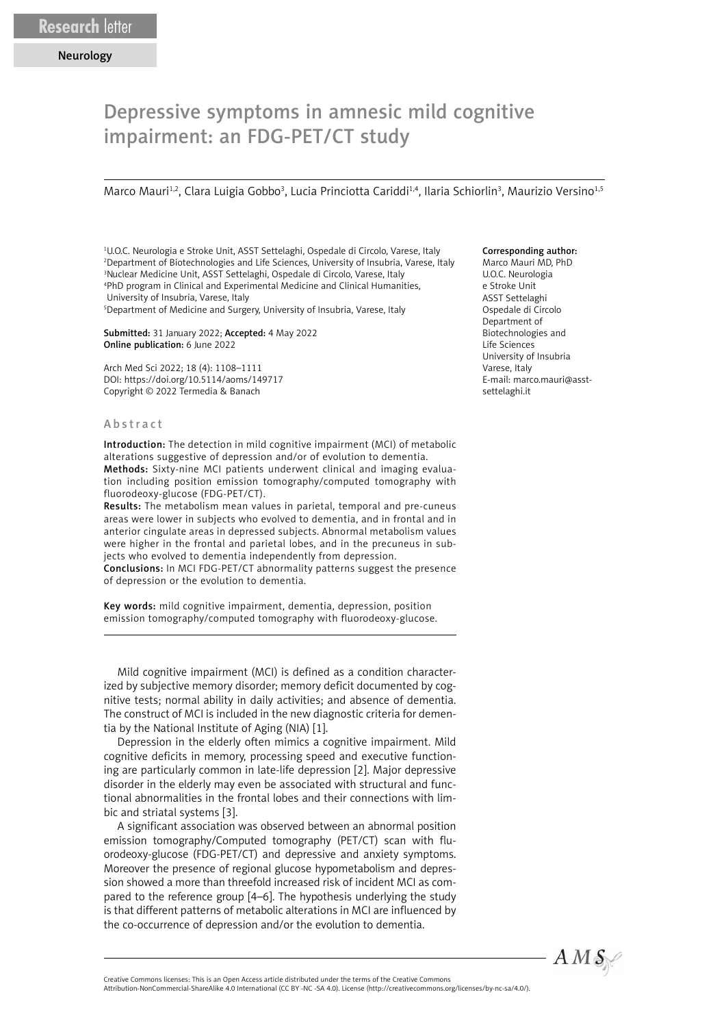## Depressive symptoms in amnesic mild cognitive impairment: an FDG-PET/CT study

Marco Mauri<sup>1,2</sup>, Clara Luigia Gobbo<sup>3</sup>, Lucia Princiotta Cariddi<sup>1,4</sup>, Ilaria Schiorlin<sup>3</sup>, Maurizio Versino<sup>1,5</sup>

 U.O.C. Neurologia e Stroke Unit, ASST Settelaghi, Ospedale di Circolo, Varese, Italy Department of Biotechnologies and Life Sciences, University of Insubria, Varese, Italy Nuclear Medicine Unit, ASST Settelaghi, Ospedale di Circolo, Varese, Italy PhD program in Clinical and Experimental Medicine and Clinical Humanities, University of Insubria, Varese, Italy

5 Department of Medicine and Surgery, University of Insubria, Varese, Italy

Submitted: 31 January 2022; Accepted: 4 May 2022 Online publication: 6 June 2022

Arch Med Sci 2022; 18 (4): 1108–1111 DOI: https://doi.org/10.5114/aoms/149717 Copyright © 2022 Termedia & Banach

## Abstract

Introduction: The detection in mild cognitive impairment (MCI) of metabolic alterations suggestive of depression and/or of evolution to dementia. Methods: Sixty-nine MCI patients underwent clinical and imaging evaluation including position emission tomography/computed tomography with fluorodeoxy-glucose (FDG-PET/CT).

Results: The metabolism mean values in parietal, temporal and pre-cuneus areas were lower in subjects who evolved to dementia, and in frontal and in anterior cingulate areas in depressed subjects. Abnormal metabolism values were higher in the frontal and parietal lobes, and in the precuneus in subjects who evolved to dementia independently from depression.

Conclusions: In MCI FDG-PET/CT abnormality patterns suggest the presence of depression or the evolution to dementia.

Key words: mild cognitive impairment, dementia, depression, position emission tomography/computed tomography with fluorodeoxy-glucose.

Mild cognitive impairment (MCI) is defined as a condition characterized by subjective memory disorder; memory deficit documented by cognitive tests; normal ability in daily activities; and absence of dementia. The construct of MCI is included in the new diagnostic criteria for dementia by the National Institute of Aging (NIA) [1].

Depression in the elderly often mimics a cognitive impairment. Mild cognitive deficits in memory, processing speed and executive functioning are particularly common in late-life depression [2]. Major depressive disorder in the elderly may even be associated with structural and functional abnormalities in the frontal lobes and their connections with limbic and striatal systems [3].

A significant association was observed between an abnormal position emission tomography/Computed tomography (PET/CT) scan with fluorodeoxy-glucose (FDG-PET/CT) and depressive and anxiety symptoms. Moreover the presence of regional glucose hypometabolism and depression showed a more than threefold increased risk of incident MCI as compared to the reference group [4–6]. The hypothesis underlying the study is that different patterns of metabolic alterations in MCI are influenced by the co-occurrence of depression and/or the evolution to dementia.

## Corresponding author:

Marco Mauri MD, PhD U.O.C. Neurologia e Stroke Unit ASST Settelaghi Ospedale di Circolo Department of Biotechnologies and Life Sciences University of Insubria Varese, Italy E-mail: marco.mauri@asstsettelaghi.it



Attribution-NonCommercial-ShareAlike 4.0 International (CC BY -NC -SA 4.0). License (http://creativecommons.org/licenses/by-nc-sa/4.0/).

Creative Commons licenses: This is an Open Access article distributed under the terms of the Creative Commons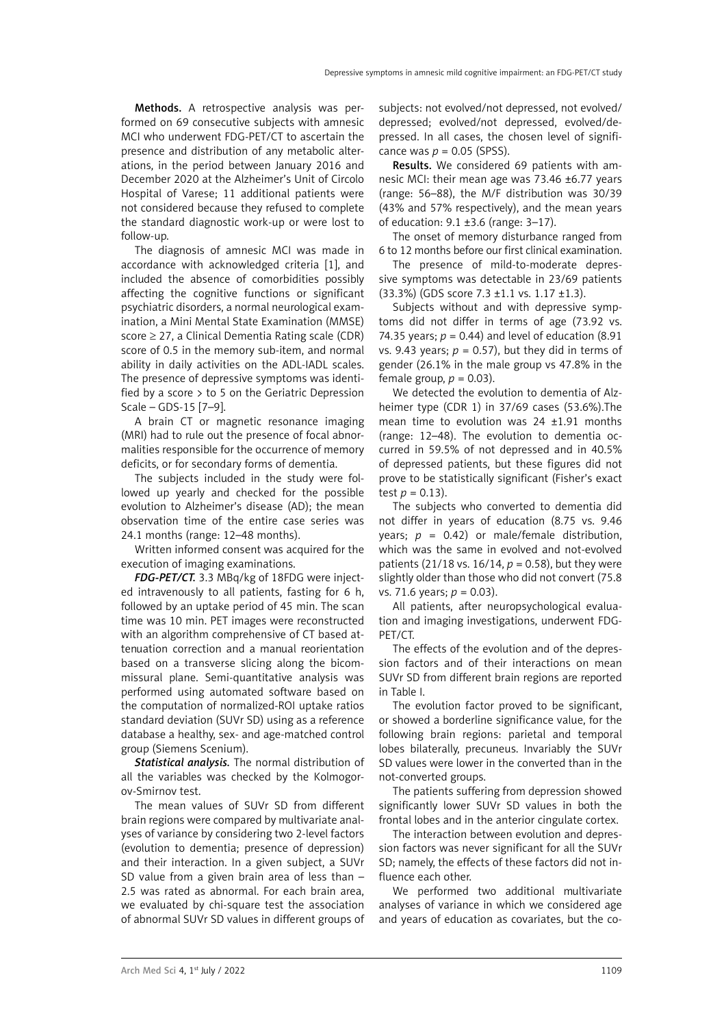Methods. A retrospective analysis was performed on 69 consecutive subjects with amnesic MCI who underwent FDG-PET/CT to ascertain the presence and distribution of any metabolic alterations, in the period between January 2016 and December 2020 at the Alzheimer's Unit of Circolo Hospital of Varese; 11 additional patients were not considered because they refused to complete the standard diagnostic work-up or were lost to follow-up.

The diagnosis of amnesic MCI was made in accordance with acknowledged criteria [1], and included the absence of comorbidities possibly affecting the cognitive functions or significant psychiatric disorders, a normal neurological examination, a Mini Mental State Examination (MMSE) score  $\geq$  27, a Clinical Dementia Rating scale (CDR) score of 0.5 in the memory sub-item, and normal ability in daily activities on the ADL-IADL scales. The presence of depressive symptoms was identified by a score  $>$  to 5 on the Geriatric Depression Scale – GDS-15 [7–9].

A brain CT or magnetic resonance imaging (MRI) had to rule out the presence of focal abnormalities responsible for the occurrence of memory deficits, or for secondary forms of dementia.

The subjects included in the study were followed up yearly and checked for the possible evolution to Alzheimer's disease (AD); the mean observation time of the entire case series was 24.1 months (range: 12–48 months).

Written informed consent was acquired for the execution of imaging examinations.

*FDG-PET/CT.* 3.3 MBq/kg of 18FDG were injected intravenously to all patients, fasting for 6 h, followed by an uptake period of 45 min. The scan time was 10 min. PET images were reconstructed with an algorithm comprehensive of CT based attenuation correction and a manual reorientation based on a transverse slicing along the bicommissural plane. Semi-quantitative analysis was performed using automated software based on the computation of normalized-ROI uptake ratios standard deviation (SUVr SD) using as a reference database a healthy, sex- and age-matched control group (Siemens Scenium).

*Statistical analysis.* The normal distribution of all the variables was checked by the Kolmogorov-Smirnov test.

The mean values of SUVr SD from different brain regions were compared by multivariate analyses of variance by considering two 2-level factors (evolution to dementia; presence of depression) and their interaction. In a given subject, a SUVr SD value from a given brain area of less than  $-$ 2.5 was rated as abnormal. For each brain area, we evaluated by chi-square test the association of abnormal SUVr SD values in different groups of subjects: not evolved/not depressed, not evolved/ depressed; evolved/not depressed, evolved/depressed. In all cases, the chosen level of significance was  $p = 0.05$  (SPSS).

Results. We considered 69 patients with amnesic MCI: their mean age was 73.46 ±6.77 years (range: 56–88), the M/F distribution was 30/39 (43% and 57% respectively), and the mean years of education: 9.1 ±3.6 (range: 3–17).

The onset of memory disturbance ranged from 6 to 12 months before our first clinical examination.

The presence of mild-to-moderate depressive symptoms was detectable in 23/69 patients (33.3%) (GDS score 7.3 ±1.1 vs. 1.17 ±1.3).

Subjects without and with depressive symptoms did not differ in terms of age (73.92 vs. 74.35 years;  $p = 0.44$ ) and level of education (8.91) vs. 9.43 years;  $p = 0.57$ ), but they did in terms of gender (26.1% in the male group vs 47.8% in the female group,  $p = 0.03$ ).

We detected the evolution to dementia of Alzheimer type (CDR 1) in 37/69 cases (53.6%).The mean time to evolution was 24 ±1.91 months (range: 12–48). The evolution to dementia occurred in 59.5% of not depressed and in 40.5% of depressed patients, but these figures did not prove to be statistically significant (Fisher's exact test  $p = 0.13$ ).

The subjects who converted to dementia did not differ in years of education (8.75 vs. 9.46 years;  $p = 0.42$ ) or male/female distribution, which was the same in evolved and not-evolved patients (21/18 vs. 16/14, *p* = 0.58), but they were slightly older than those who did not convert (75.8 vs. 71.6 years; *p* = 0.03).

All patients, after neuropsychological evaluation and imaging investigations, underwent FDG-PET/CT.

The effects of the evolution and of the depression factors and of their interactions on mean SUVr SD from different brain regions are reported in Table I.

The evolution factor proved to be significant, or showed a borderline significance value, for the following brain regions: parietal and temporal lobes bilaterally, precuneus. Invariably the SUVr SD values were lower in the converted than in the not-converted groups.

The patients suffering from depression showed significantly lower SUVr SD values in both the frontal lobes and in the anterior cingulate cortex.

The interaction between evolution and depression factors was never significant for all the SUVr SD; namely, the effects of these factors did not influence each other.

We performed two additional multivariate analyses of variance in which we considered age and years of education as covariates, but the co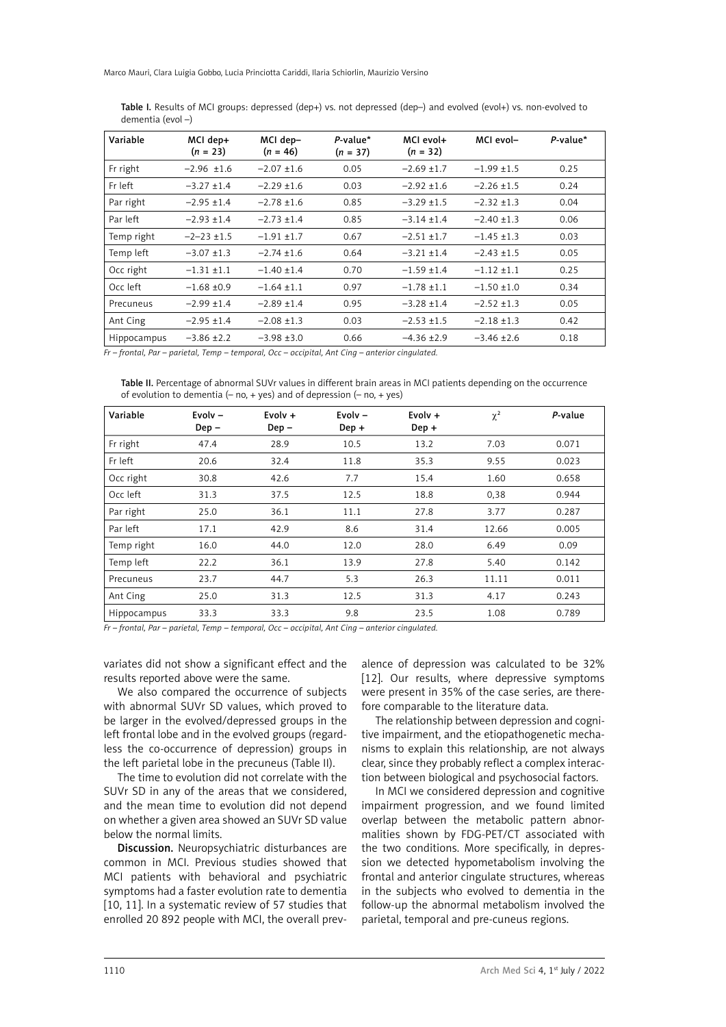Marco Mauri, Clara Luigia Gobbo, Lucia Princiotta Cariddi, Ilaria Schiorlin, Maurizio Versino

| Variable    | MCI dep+<br>$(n = 23)$ | MCI dep-<br>$(n = 46)$ | $P-value*$<br>$(n = 37)$ | MCI evol+<br>$(n = 32)$ | MCI evol-       | $P$ -value* |
|-------------|------------------------|------------------------|--------------------------|-------------------------|-----------------|-------------|
| Fr right    | $-2.96$ $\pm 1.6$      | $-2.07 \pm 1.6$        | 0.05                     | $-2.69 \pm 1.7$         | $-1.99 \pm 1.5$ | 0.25        |
| Fr left     | $-3.27 \pm 1.4$        | $-2.29$ ±1.6           | 0.03                     | $-2.92 \pm 1.6$         | $-2.26 \pm 1.5$ | 0.24        |
| Par right   | $-2.95 \pm 1.4$        | $-2.78 \pm 1.6$        | 0.85                     | $-3.29 \pm 1.5$         | $-2.32 \pm 1.3$ | 0.04        |
| Par left    | $-2.93 \pm 1.4$        | $-2.73 + 1.4$          | 0.85                     | $-3.14 \pm 1.4$         | $-2.40 \pm 1.3$ | 0.06        |
| Temp right  | $-2-23 \pm 1.5$        | $-1.91 \pm 1.7$        | 0.67                     | $-2.51 \pm 1.7$         | $-1.45 \pm 1.3$ | 0.03        |
| Temp left   | $-3.07 \pm 1.3$        | $-2.74 \pm 1.6$        | 0.64                     | $-3.21 \pm 1.4$         | $-2.43 \pm 1.5$ | 0.05        |
| Occ right   | $-1.31 \pm 1.1$        | $-1.40 \pm 1.4$        | 0.70                     | $-1.59$ ±1.4            | $-1.12 + 1.1$   | 0.25        |
| Occ left    | $-1.68 + 0.9$          | $-1.64 \pm 1.1$        | 0.97                     | $-1.78 \pm 1.1$         | $-1.50 \pm 1.0$ | 0.34        |
| Precuneus   | $-2.99 \pm 1.4$        | $-2.89 \pm 1.4$        | 0.95                     | $-3.28 \pm 1.4$         | $-2.52 \pm 1.3$ | 0.05        |
| Ant Cing    | $-2.95 \pm 1.4$        | $-2.08 \pm 1.3$        | 0.03                     | $-2.53 \pm 1.5$         | $-2.18 \pm 1.3$ | 0.42        |
| Hippocampus | $-3.86 \pm 2.2$        | $-3.98 \pm 3.0$        | 0.66                     | $-4.36 \pm 2.9$         | $-3.46 \pm 2.6$ | 0.18        |

Table I. Results of MCI groups: depressed (dep+) vs. not depressed (dep-) and evolved (evol+) vs. non-evolved to dementia (evol –)

*Fr – frontal, Par – parietal, Temp – temporal, Occ – occipital, Ant Cing – anterior cingulated.*

Table II. Percentage of abnormal SUVr values in different brain areas in MCI patients depending on the occurrence of evolution to dementia  $(- \text{no}, + \text{yes})$  and of depression  $(- \text{no}, + \text{yes})$ 

| Variable    | Evolv $-$<br>$Dep -$ | Evolv $+$<br>$Dep -$ | Evolv $-$<br>$Dep +$ | Evolv $+$<br>Dep + | $\chi^2$ | P-value |
|-------------|----------------------|----------------------|----------------------|--------------------|----------|---------|
| Fr right    | 47.4                 | 28.9                 | 10.5                 | 13.2               | 7.03     | 0.071   |
| Fr left     | 20.6                 | 32.4                 | 11.8                 | 35.3               | 9.55     | 0.023   |
| Occ right   | 30.8                 | 42.6                 | 7.7                  | 15.4               | 1.60     | 0.658   |
| Occ left    | 31.3                 | 37.5                 | 12.5                 | 18.8               | 0,38     | 0.944   |
| Par right   | 25.0                 | 36.1                 | 11.1                 | 27.8               | 3.77     | 0.287   |
| Par left    | 17.1                 | 42.9                 | 8.6                  | 31.4               | 12.66    | 0.005   |
| Temp right  | 16.0                 | 44.0                 | 12.0                 | 28.0               | 6.49     | 0.09    |
| Temp left   | 22.2                 | 36.1                 | 13.9                 | 27.8               | 5.40     | 0.142   |
| Precuneus   | 23.7                 | 44.7                 | 5.3                  | 26.3               | 11.11    | 0.011   |
| Ant Cing    | 25.0                 | 31.3                 | 12.5                 | 31.3               | 4.17     | 0.243   |
| Hippocampus | 33.3                 | 33.3                 | 9.8                  | 23.5               | 1.08     | 0.789   |

*Fr – frontal, Par – parietal, Temp – temporal, Occ – occipital, Ant Cing – anterior cingulated.*

variates did not show a significant effect and the results reported above were the same.

We also compared the occurrence of subjects with abnormal SUVr SD values, which proved to be larger in the evolved/depressed groups in the left frontal lobe and in the evolved groups (regardless the co-occurrence of depression) groups in the left parietal lobe in the precuneus (Table II).

The time to evolution did not correlate with the SUVr SD in any of the areas that we considered, and the mean time to evolution did not depend on whether a given area showed an SUVr SD value below the normal limits.

Discussion. Neuropsychiatric disturbances are common in MCI. Previous studies showed that MCI patients with behavioral and psychiatric symptoms had a faster evolution rate to dementia [10, 11]. In a systematic review of 57 studies that enrolled 20 892 people with MCI, the overall prev-

alence of depression was calculated to be 32% [12]. Our results, where depressive symptoms were present in 35% of the case series, are therefore comparable to the literature data.

The relationship between depression and cognitive impairment, and the etiopathogenetic mechanisms to explain this relationship, are not always clear, since they probably reflect a complex interaction between biological and psychosocial factors.

In MCI we considered depression and cognitive impairment progression, and we found limited overlap between the metabolic pattern abnormalities shown by FDG-PET/CT associated with the two conditions. More specifically, in depression we detected hypometabolism involving the frontal and anterior cingulate structures, whereas in the subjects who evolved to dementia in the follow-up the abnormal metabolism involved the parietal, temporal and pre-cuneus regions.